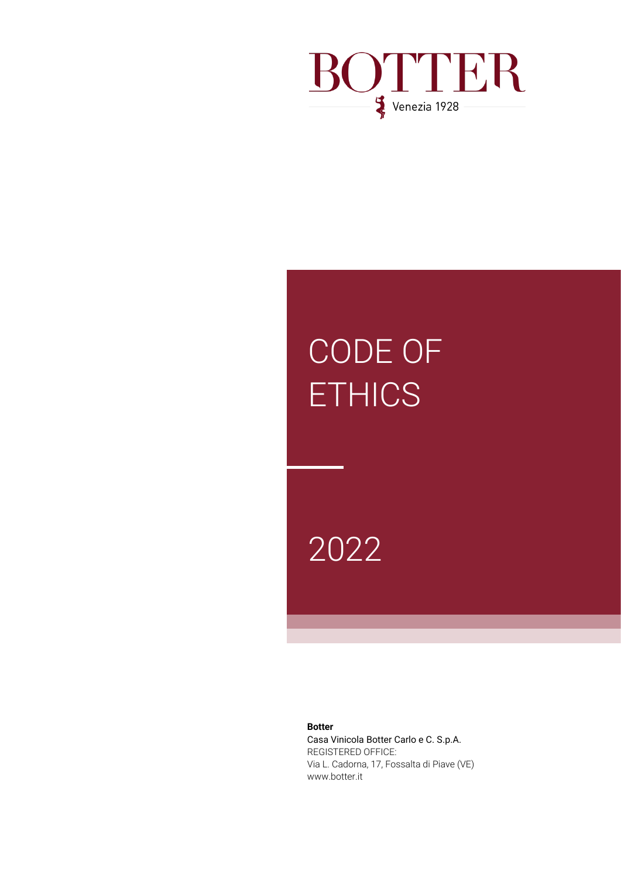

# CODE OF **ETHICS**

# 2022

**Botter**

Casa Vinicola Botter Carlo e C. S.p.A. REGISTERED OFFICE: Via L. Cadorna, 17, Fossalta di Piave (VE) www.botter.it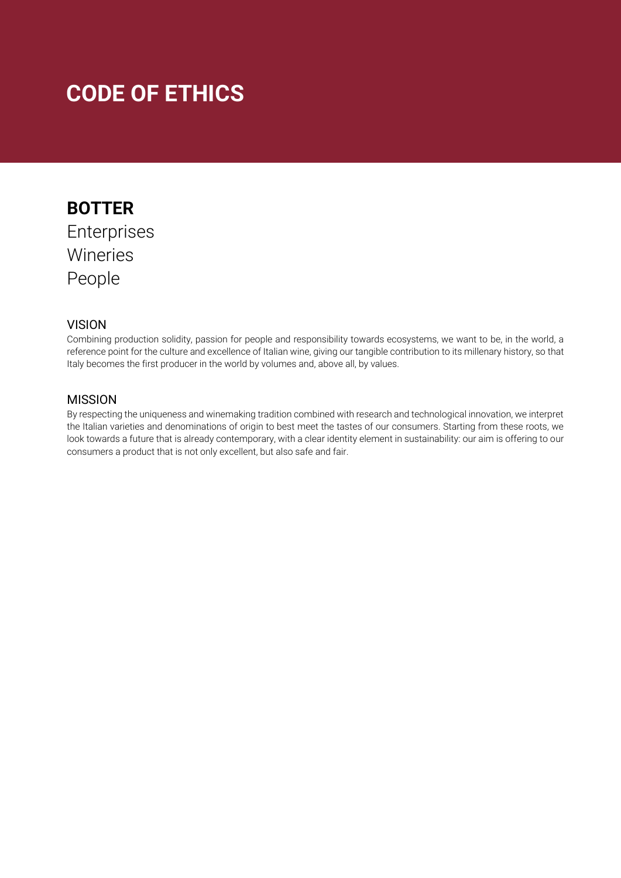# **CODE OF ETHICS**

# **BOTTER** Enterprises Wineries People

## **VISION**

Combining production solidity, passion for people and responsibility towards ecosystems, we want to be, in the world, a reference point for the culture and excellence of Italian wine, giving our tangible contribution to its millenary history, so that Italy becomes the first producer in the world by volumes and, above all, by values.

## MISSION

By respecting the uniqueness and winemaking tradition combined with research and technological innovation, we interpret the Italian varieties and denominations of origin to best meet the tastes of our consumers. Starting from these roots, we look towards a future that is already contemporary, with a clear identity element in sustainability: our aim is offering to our consumers a product that is not only excellent, but also safe and fair.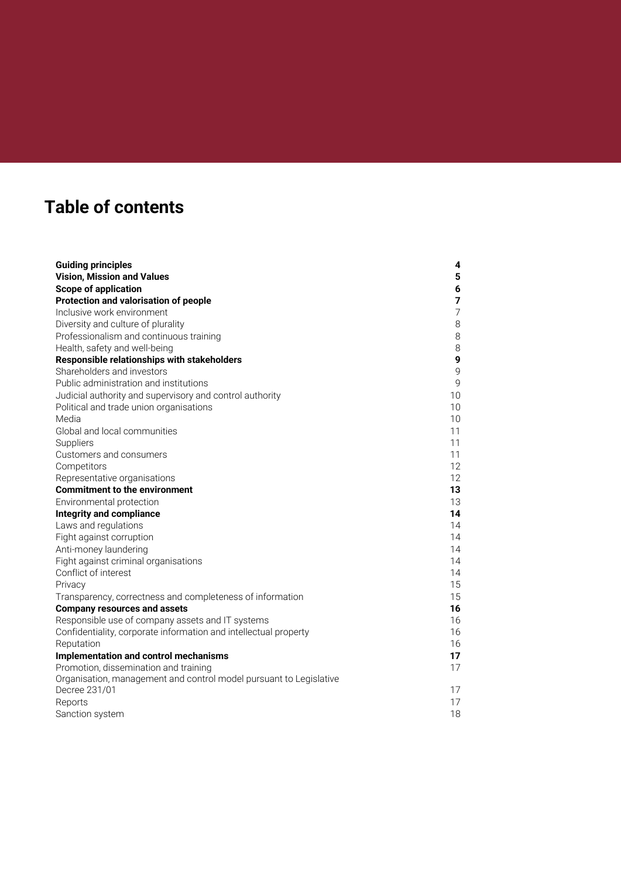# **Table of contents**

| <b>Guiding principles</b>                                          | 4              |
|--------------------------------------------------------------------|----------------|
| <b>Vision, Mission and Values</b>                                  | 5              |
| <b>Scope of application</b>                                        | 6              |
| Protection and valorisation of people                              | 7              |
| Inclusive work environment                                         | $\overline{7}$ |
| Diversity and culture of plurality                                 | 8              |
| Professionalism and continuous training                            | 8              |
| Health, safety and well-being                                      | 8              |
| Responsible relationships with stakeholders                        | 9              |
| Shareholders and investors                                         | 9              |
| Public administration and institutions                             | $\mathsf{Q}$   |
| Judicial authority and supervisory and control authority           | 10             |
| Political and trade union organisations                            | 10             |
| Media                                                              | 10             |
| Global and local communities                                       | 11             |
| Suppliers                                                          | 11             |
| Customers and consumers                                            | 11             |
| Competitors                                                        | 12             |
| Representative organisations                                       | 12             |
| <b>Commitment to the environment</b>                               | 13             |
| Environmental protection                                           | 13             |
| <b>Integrity and compliance</b>                                    | 14             |
| Laws and regulations                                               | 14             |
| Fight against corruption                                           | 14             |
| Anti-money laundering                                              | 14             |
| Fight against criminal organisations                               | 14             |
| Conflict of interest                                               | 14             |
| Privacy                                                            | 15             |
| Transparency, correctness and completeness of information          | 15             |
| <b>Company resources and assets</b>                                | 16             |
| Responsible use of company assets and IT systems                   | 16             |
| Confidentiality, corporate information and intellectual property   | 16             |
| Reputation                                                         | 16             |
| Implementation and control mechanisms                              | 17             |
| Promotion, dissemination and training                              | 17             |
| Organisation, management and control model pursuant to Legislative |                |
| Decree 231/01                                                      | 17             |
| Reports                                                            | 17             |
| Sanction system                                                    | 18             |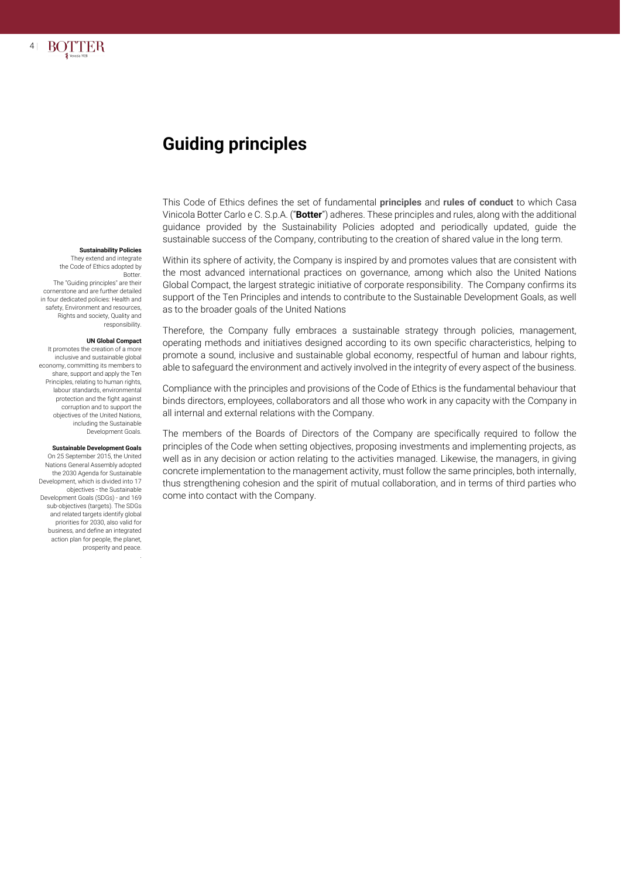

# **Guiding principles**

This Code of Ethics defines the set of fundamental **principles** and **rules of conduct** to which Casa Vinicola Botter Carlo e C. S.p.A. ("**Botter**") adheres. These principles and rules, along with the additional guidance provided by the Sustainability Policies adopted and periodically updated, guide the sustainable success of the Company, contributing to the creation of shared value in the long term.

Within its sphere of activity, the Company is inspired by and promotes values that are consistent with the most advanced international practices on governance, among which also the United Nations Global Compact, the largest strategic initiative of corporate responsibility. The Company confirms its support of the Ten Principles and intends to contribute to the Sustainable Development Goals, as well as to the broader goals of the United Nations

Therefore, the Company fully embraces a sustainable strategy through policies, management, operating methods and initiatives designed according to its own specific characteristics, helping to promote a sound, inclusive and sustainable global economy, respectful of human and labour rights, able to safeguard the environment and actively involved in the integrity of every aspect of the business.

Compliance with the principles and provisions of the Code of Ethics is the fundamental behaviour that binds directors, employees, collaborators and all those who work in any capacity with the Company in all internal and external relations with the Company.

The members of the Boards of Directors of the Company are specifically required to follow the principles of the Code when setting objectives, proposing investments and implementing projects, as well as in any decision or action relating to the activities managed. Likewise, the managers, in giving concrete implementation to the management activity, must follow the same principles, both internally, thus strengthening cohesion and the spirit of mutual collaboration, and in terms of third parties who come into contact with the Company.

#### **Sustainability Policies**

They extend and integrate the Code of Ethics adopted by **Botter** 

The "Guiding principles" are their cornerstone and are further detailed in four dedicated policies: Health and safety, Environment and resources, Rights and society, Quality and responsibility.

#### **UN Global Compact**

It promotes the creation of a more inclusive and sustainable global economy, committing its members to share, support and apply the Ten Principles, relating to human rights, labour standards, environmental protection and the fight against corruption and to support the objectives of the United Nations, including the Sustainable Development Goals.

#### **Sustainable Development Goals**

On 25 September 2015, the United Nations General Assembly adopted the 2030 Agenda for Sustainable Development, which is divided into 17 objectives - the Sustainable Development Goals (SDGs) - and 169 sub-objectives (targets). The SDGs and related targets identify global priorities for 2030, also valid for business, and define an integrated action plan for people, the planet, prosperity and peace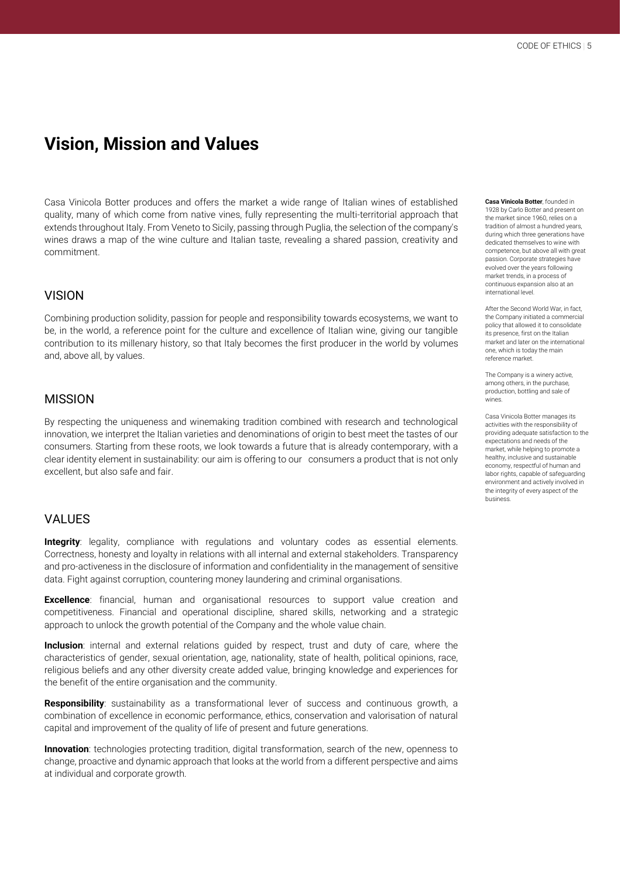# **Vision, Mission and Values**

Casa Vinicola Botter produces and offers the market a wide range of Italian wines of established quality, many of which come from native vines, fully representing the multi-territorial approach that extends throughout Italy. From Veneto to Sicily, passing through Puglia, the selection of the company's wines draws a map of the wine culture and Italian taste, revealing a shared passion, creativity and commitment.

#### VISION

Combining production solidity, passion for people and responsibility towards ecosystems, we want to be, in the world, a reference point for the culture and excellence of Italian wine, giving our tangible contribution to its millenary history, so that Italy becomes the first producer in the world by volumes and, above all, by values.

#### MISSION

By respecting the uniqueness and winemaking tradition combined with research and technological innovation, we interpret the Italian varieties and denominations of origin to best meet the tastes of our consumers. Starting from these roots, we look towards a future that is already contemporary, with a clear identity element in sustainability: our aim is offering to our consumers a product that is not only excellent, but also safe and fair.

#### VALUES

**Integrity**: legality, compliance with regulations and voluntary codes as essential elements. Correctness, honesty and loyalty in relations with all internal and external stakeholders. Transparency and pro-activeness in the disclosure of information and confidentiality in the management of sensitive data. Fight against corruption, countering money laundering and criminal organisations.

**Excellence**: financial, human and organisational resources to support value creation and competitiveness. Financial and operational discipline, shared skills, networking and a strategic approach to unlock the growth potential of the Company and the whole value chain.

**Inclusion**: internal and external relations quided by respect, trust and duty of care, where the characteristics of gender, sexual orientation, age, nationality, state of health, political opinions, race, religious beliefs and any other diversity create added value, bringing knowledge and experiences for the benefit of the entire organisation and the community.

**Responsibility**: sustainability as a transformational lever of success and continuous growth, a combination of excellence in economic performance, ethics, conservation and valorisation of natural capital and improvement of the quality of life of present and future generations.

**Innovation**: technologies protecting tradition, digital transformation, search of the new, openness to change, proactive and dynamic approach that looks at the world from a different perspective and aims at individual and corporate growth.

**Casa Vinicola Botter**, founded in 1928 by Carlo Botter and present on the market since 1960, relies on a tradition of almost a hundred years, during which three generations have dedicated themselves to wine with competence, but above all with great passion. Corporate strategies have evolved over the years following market trends, in a process of continuous expansion also at an international level.

After the Second World War, in fact, the Company initiated a commercial policy that allowed it to consolidate its presence, first on the Italian market and later on the international one, which is today the main reference market.

The Company is a winery active, among others, in the purchase production, bottling and sale of wines.

Casa Vinicola Botter manages its activities with the responsibility of providing adequate satisfaction to the expectations and needs of the market, while helping to promote a healthy, inclusive and sustainable economy, respectful of human and labor rights, capable of safeguarding environment and actively involved in the integrity of every aspect of the business.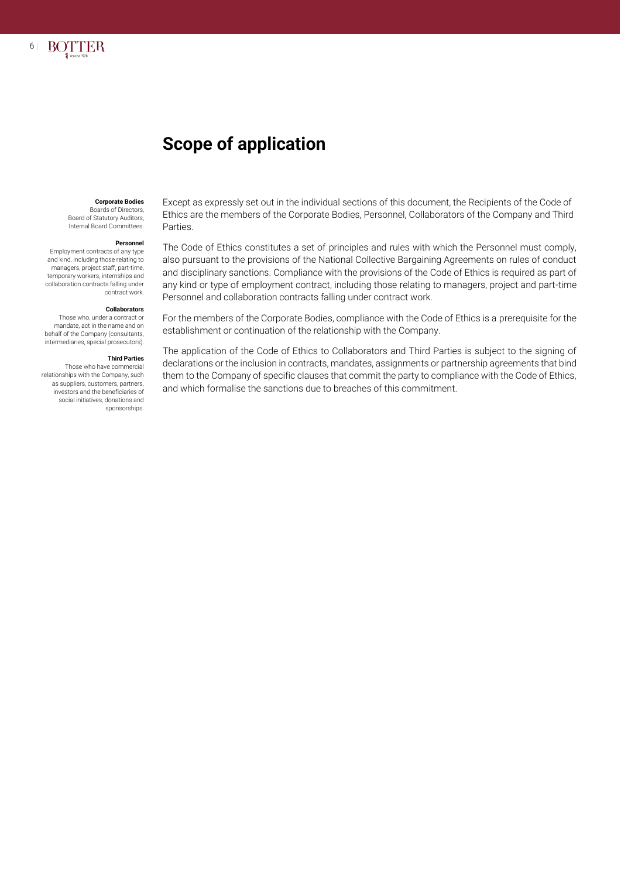

#### **Corporate Bodies**

Boards of Directors, Board of Statutory Auditors, Internal Board Committees.

6 |

**BOTTER** 

#### **Personnel**

Employment contracts of any type and kind, including those relating to managers, project staff, part-time, temporary workers, internships and collaboration contracts falling under contract work.

#### **Collaborators**

Those who, under a contract or mandate, act in the name and on behalf of the Company (consultants, intermediaries, special prosecutors).

#### **Third Parties**

Those who have commercial relationships with the Company, such as suppliers, customers, partners, investors and the beneficiaries of social initiatives, donations and sponsorships.

Except as expressly set out in the individual sections of this document, the Recipients of the Code of Ethics are the members of the Corporate Bodies, Personnel, Collaborators of the Company and Third Parties.

The Code of Ethics constitutes a set of principles and rules with which the Personnel must comply, also pursuant to the provisions of the National Collective Bargaining Agreements on rules of conduct and disciplinary sanctions. Compliance with the provisions of the Code of Ethics is required as part of any kind or type of employment contract, including those relating to managers, project and part-time Personnel and collaboration contracts falling under contract work.

For the members of the Corporate Bodies, compliance with the Code of Ethics is a prerequisite for the establishment or continuation of the relationship with the Company.

The application of the Code of Ethics to Collaborators and Third Parties is subject to the signing of declarations or the inclusion in contracts, mandates, assignments or partnership agreements that bind them to the Company of specific clauses that commit the party to compliance with the Code of Ethics, and which formalise the sanctions due to breaches of this commitment.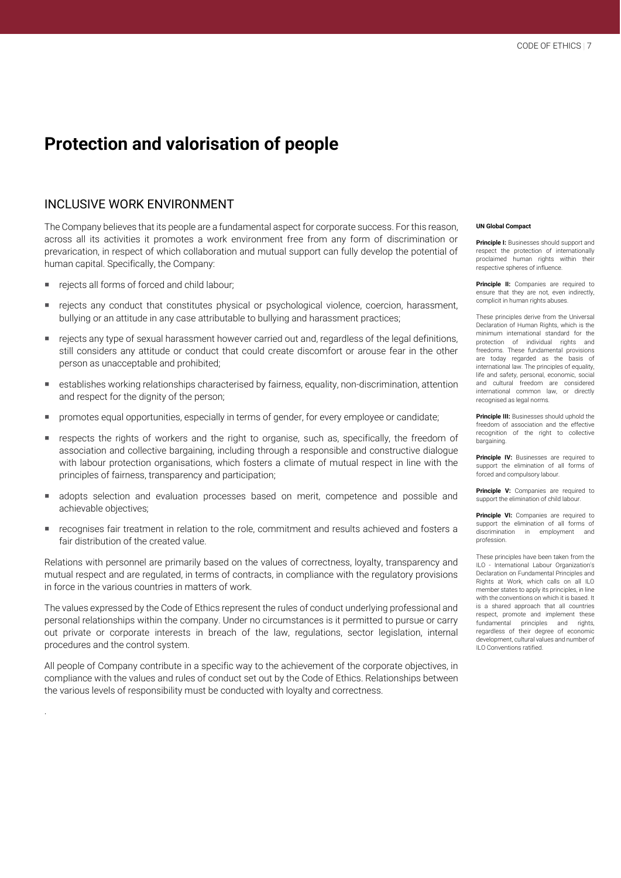# **Protection and valorisation of people**

#### INCLUSIVE WORK ENVIRONMENT

The Company believes that its people are a fundamental aspect for corporate success. For this reason, across all its activities it promotes a work environment free from any form of discrimination or prevarication, in respect of which collaboration and mutual support can fully develop the potential of human capital. Specifically, the Company:

rejects all forms of forced and child labour;

.

- rejects any conduct that constitutes physical or psychological violence, coercion, harassment, bullying or an attitude in any case attributable to bullying and harassment practices;
- rejects any type of sexual harassment however carried out and, regardless of the legal definitions, still considers any attitude or conduct that could create discomfort or arouse fear in the other person as unacceptable and prohibited;
- establishes working relationships characterised by fairness, equality, non-discrimination, attention and respect for the dignity of the person;
- **PEDIM** promotes equal opportunities, especially in terms of gender, for every employee or candidate;
- **F** respects the rights of workers and the right to organise, such as, specifically, the freedom of association and collective bargaining, including through a responsible and constructive dialogue with labour protection organisations, which fosters a climate of mutual respect in line with the principles of fairness, transparency and participation;
- adopts selection and evaluation processes based on merit, competence and possible and achievable objectives;
- recognises fair treatment in relation to the role, commitment and results achieved and fosters a fair distribution of the created value.

Relations with personnel are primarily based on the values of correctness, loyalty, transparency and mutual respect and are regulated, in terms of contracts, in compliance with the regulatory provisions in force in the various countries in matters of work.

The values expressed by the Code of Ethics represent the rules of conduct underlying professional and personal relationships within the company. Under no circumstances is it permitted to pursue or carry out private or corporate interests in breach of the law, regulations, sector legislation, internal procedures and the control system.

All people of Company contribute in a specific way to the achievement of the corporate objectives, in compliance with the values and rules of conduct set out by the Code of Ethics. Relationships between the various levels of responsibility must be conducted with loyalty and correctness.

#### **UN Global Compact**

**Principle I:** Businesses should support and respect the protection of internationally proclaimed human rights within their respective spheres of influence.

**Principle II:** Companies are required to ensure that they are not, even indirectly, complicit in human rights abuses.

These principles derive from the Universal Declaration of Human Rights, which is the minimum international standard for the protection of individual rights and freedoms. These fundamental provisions are today regarded as the basis of international law. The principles of equality, life and safety, personal, economic, social and cultural freedom are considered international common law, or directly recognised as legal norms.

**Principle III:** Businesses should uphold the freedom of association and the effective recognition of the right to collective bargaining.

**Principle IV:** Businesses are required to support the elimination of all forms of forced and compulsory labour.

Principle V: Companies are required to support the elimination of child labour.

**Principle VI:** Companies are required to support the elimination of all forms of discrimination in employment and profession.

These principles have been taken from the ILO - International Labour Organization's Declaration on Fundamental Principles and Rights at Work, which calls on all ILO member states to apply its principles, in line with the conventions on which it is based. It is a shared approach that all countries respect, promote and implement these fundamental principles and rights, regardless of their degree of economic development, cultural values and number of ILO Conventions ratified.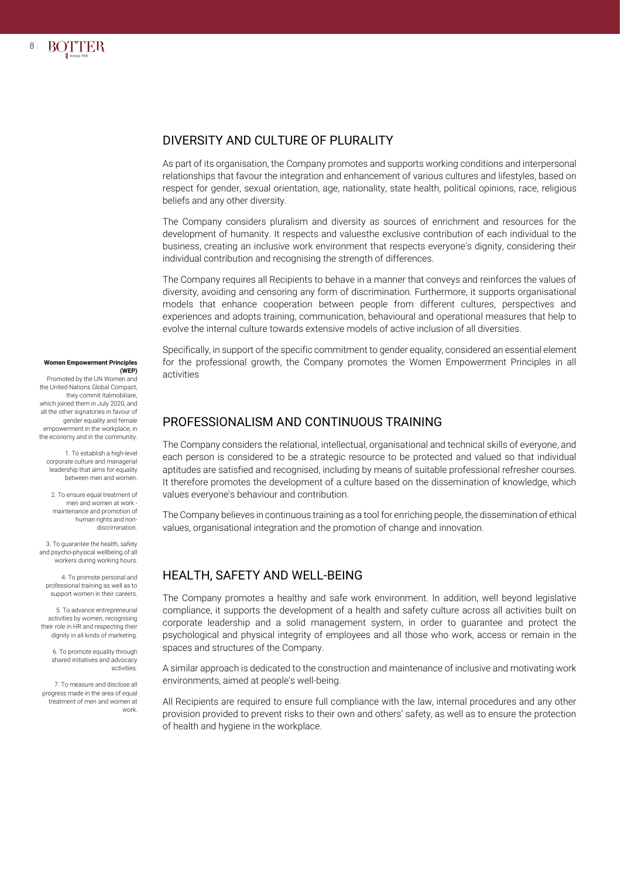

#### DIVERSITY AND CULTURE OF PLURALITY

As part of its organisation, the Company promotes and supports working conditions and interpersonal relationships that favour the integration and enhancement of various cultures and lifestyles, based on respect for gender, sexual orientation, age, nationality, state health, political opinions, race, religious beliefs and any other diversity.

The Company considers pluralism and diversity as sources of enrichment and resources for the development of humanity. It respects and valuesthe exclusive contribution of each individual to the business, creating an inclusive work environment that respects everyone's dignity, considering their individual contribution and recognising the strength of differences.

The Company requires all Recipients to behave in a manner that conveys and reinforces the values of diversity, avoiding and censoring any form of discrimination. Furthermore, it supports organisational models that enhance cooperation between people from different cultures, perspectives and experiences and adopts training, communication, behavioural and operational measures that help to evolve the internal culture towards extensive models of active inclusion of all diversities.

Specifically, in support of the specific commitment to gender equality, considered an essential element for the professional growth, the Company promotes the Women Empowerment Principles in all activities

#### PROFESSIONALISM AND CONTINUOUS TRAINING

The Company considers the relational, intellectual, organisational and technical skills of everyone, and each person is considered to be a strategic resource to be protected and valued so that individual aptitudes are satisfied and recognised, including by means of suitable professional refresher courses. It therefore promotes the development of a culture based on the dissemination of knowledge, which values everyone's behaviour and contribution.

The Company believes in continuous training as a tool for enriching people, the dissemination of ethical values, organisational integration and the promotion of change and innovation.

#### HEALTH, SAFETY AND WELL-BEING

The Company promotes a healthy and safe work environment. In addition, well beyond legislative compliance, it supports the development of a health and safety culture across all activities built on corporate leadership and a solid management system, in order to guarantee and protect the psychological and physical integrity of employees and all those who work, access or remain in the spaces and structures of the Company.

A similar approach is dedicated to the construction and maintenance of inclusive and motivating work environments, aimed at people's well-being.

All Recipients are required to ensure full compliance with the law, internal procedures and any other provision provided to prevent risks to their own and others' safety, as well as to ensure the protection of health and hygiene in the workplace.

#### **Women Empowerment Principles (WEP)**

Promoted by the UN Women and the United Nations Global Compact, they commit Italmobiliare, which joined them in July 2020, and all the other signatories in favour of gender equality and female empowerment in the workplace, in the economy and in the community.

1. To establish a high-level corporate culture and managerial leadership that aims for equality between men and women.

2. To ensure equal treatment of men and women at work maintenance and promotion of human rights and nondiscrimination.

3. To guarantee the health, safety and psycho-physical wellbeing of all workers during working hours.

4. To promote personal and professional training as well as to support women in their careers.

5. To advance entrepreneurial activities by women, recognising their role in HR and respecting their dignity in all kinds of marketing.

6. To promote equality through shared initiatives and advocacy activities.

7. To measure and disclose all progress made in the area of equal treatment of men and women at work.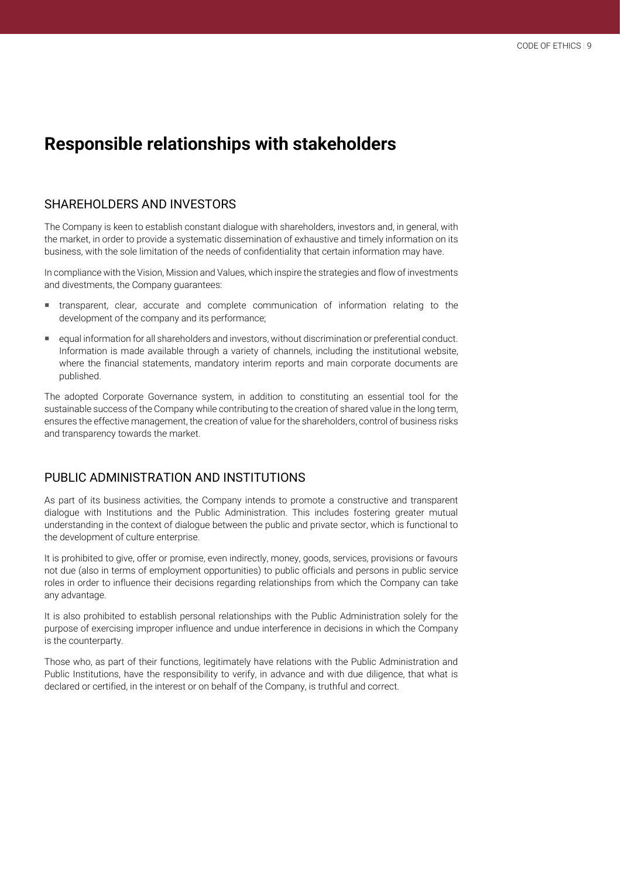# **Responsible relationships with stakeholders**

## SHAREHOLDERS AND INVESTORS

The Company is keen to establish constant dialogue with shareholders, investors and, in general, with the market, in order to provide a systematic dissemination of exhaustive and timely information on its business, with the sole limitation of the needs of confidentiality that certain information may have.

In compliance with the Vision, Mission and Values, which inspire the strategies and flow of investments and divestments, the Company guarantees:

- transparent, clear, accurate and complete communication of information relating to the development of the company and its performance;
- equal information for all shareholders and investors, without discrimination or preferential conduct. Information is made available through a variety of channels, including the institutional website, where the financial statements, mandatory interim reports and main corporate documents are published.

The adopted Corporate Governance system, in addition to constituting an essential tool for the sustainable success of the Company while contributing to the creation of shared value in the long term, ensures the effective management, the creation of value for the shareholders, control of business risks and transparency towards the market.

## PUBLIC ADMINISTRATION AND INSTITUTIONS

As part of its business activities, the Company intends to promote a constructive and transparent dialogue with Institutions and the Public Administration. This includes fostering greater mutual understanding in the context of dialogue between the public and private sector, which is functional to the development of culture enterprise.

It is prohibited to give, offer or promise, even indirectly, money, goods, services, provisions or favours not due (also in terms of employment opportunities) to public officials and persons in public service roles in order to influence their decisions regarding relationships from which the Company can take any advantage.

It is also prohibited to establish personal relationships with the Public Administration solely for the purpose of exercising improper influence and undue interference in decisions in which the Company is the counterparty.

Those who, as part of their functions, legitimately have relations with the Public Administration and Public Institutions, have the responsibility to verify, in advance and with due diligence, that what is declared or certified, in the interest or on behalf of the Company, is truthful and correct.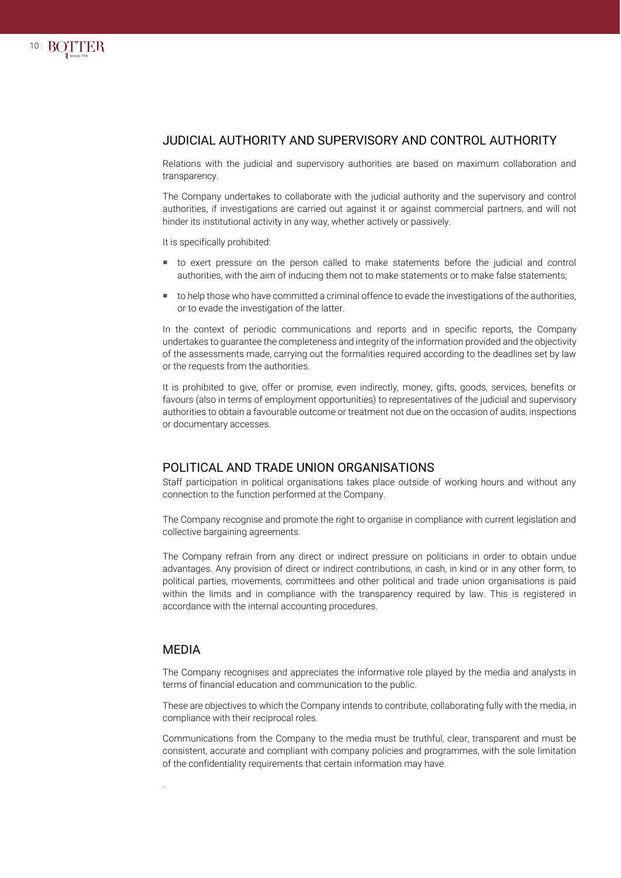

#### JUDICIAL AUTHORITY AND SUPERVISORY AND CONTROL AUTHORITY

Relations with the judicial and supervisory authorities are based on maximum collaboration and transparency.

The Company undertakes to collaborate with the judicial authority and the supervisory and control authorities, if investigations are carried out against it or against commercial partners, and will not hinder its institutional activity in any way, whether actively or passively.

It is specifically prohibited:

- to exert pressure on the person called to make statements before the judicial and control authorities, with the aim of inducing them not to make statements or to make false statements:
- to help those who have committed a criminal offence to evade the investigations of the authorities, or to evade the investigation of the latter.

In the context of periodic communications and reports and in specific reports, the Company undertakes to guarantee the completeness and integrity of the information provided and the objectivity of the assessments made, carrying out the formalities required according to the deadlines set by law or the requests from the authorities.

It is prohibited to give, offer or promise, even indirectly, money, gifts, goods, services, benefits or favours (also in terms of employment opportunities) to representatives of the judicial and supervisory authorities to obtain a favourable outcome or treatment not due on the occasion of audits, inspections or documentary accesses.

#### POLITICAL AND TRADE UNION ORGANISATIONS

Staff participation in political organisations takes place outside of working hours and without any connection to the function performed at the Company.

The Company recognise and promote the right to organise in compliance with current legislation and collective bargaining agreements.

The Company refrain from any direct or indirect pressure on politicians in order to obtain undue advantages. Any provision of direct or indirect contributions, in cash, in kind or in any other form, to political parties, movements, committees and other political and trade union organisations is paid within the limits and in compliance with the transparency required by law. This is registered in accordance with the internal accounting procedures.

#### MEDIA

.

The Company recognises and appreciates the informative role played by the media and analysts in terms of financial education and communication to the public.

These are objectives to which the Company intends to contribute, collaborating fully with the media, in compliance with their reciprocal roles.

Communications from the Company to the media must be truthful, clear, transparent and must be consistent, accurate and compliant with company policies and programmes, with the sole limitation of the confidentiality requirements that certain information may have.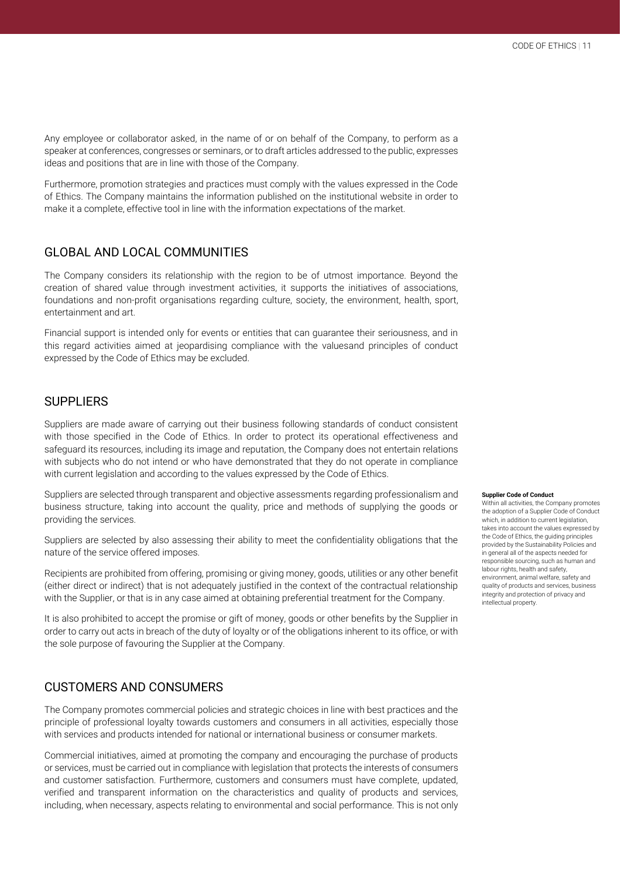Any employee or collaborator asked, in the name of or on behalf of the Company, to perform as a speaker at conferences, congresses or seminars, or to draft articles addressed to the public, expresses ideas and positions that are in line with those of the Company.

Furthermore, promotion strategies and practices must comply with the values expressed in the Code of Ethics. The Company maintains the information published on the institutional website in order to make it a complete, effective tool in line with the information expectations of the market.

#### GLOBAL AND LOCAL COMMUNITIES

The Company considers its relationship with the region to be of utmost importance. Beyond the creation of shared value through investment activities, it supports the initiatives of associations, foundations and non-profit organisations regarding culture, society, the environment, health, sport, entertainment and art.

Financial support is intended only for events or entities that can guarantee their seriousness, and in this regard activities aimed at jeopardising compliance with the valuesand principles of conduct expressed by the Code of Ethics may be excluded.

#### SUPPLIERS

Suppliers are made aware of carrying out their business following standards of conduct consistent with those specified in the Code of Ethics. In order to protect its operational effectiveness and safeguard its resources, including its image and reputation, the Company does not entertain relations with subjects who do not intend or who have demonstrated that they do not operate in compliance with current legislation and according to the values expressed by the Code of Ethics.

Suppliers are selected through transparent and objective assessments regarding professionalism and business structure, taking into account the quality, price and methods of supplying the goods or providing the services.

Suppliers are selected by also assessing their ability to meet the confidentiality obligations that the nature of the service offered imposes.

Recipients are prohibited from offering, promising or giving money, goods, utilities or any other benefit (either direct or indirect) that is not adequately justified in the context of the contractual relationship with the Supplier, or that is in any case aimed at obtaining preferential treatment for the Company.

It is also prohibited to accept the promise or gift of money, goods or other benefits by the Supplier in order to carry out acts in breach of the duty of loyalty or of the obligations inherent to its office, or with the sole purpose of favouring the Supplier at the Company.

#### CUSTOMERS AND CONSUMERS

The Company promotes commercial policies and strategic choices in line with best practices and the principle of professional loyalty towards customers and consumers in all activities, especially those with services and products intended for national or international business or consumer markets.

Commercial initiatives, aimed at promoting the company and encouraging the purchase of products or services, must be carried out in compliance with legislation that protects the interests of consumers and customer satisfaction. Furthermore, customers and consumers must have complete, updated, verified and transparent information on the characteristics and quality of products and services, including, when necessary, aspects relating to environmental and social performance. This is not only

#### **Supplier Code of Conduct**

Within all activities, the Company promotes the adoption of a Supplier Code of Conduct which, in addition to current legislation, takes into account the values expressed by the Code of Ethics, the guiding principles provided by the Sustainability Policies and in general all of the aspects needed for responsible sourcing, such as human and labour rights, health and safety environment, animal welfare, safety and quality of products and services, business integrity and protection of privacy and intellectual property.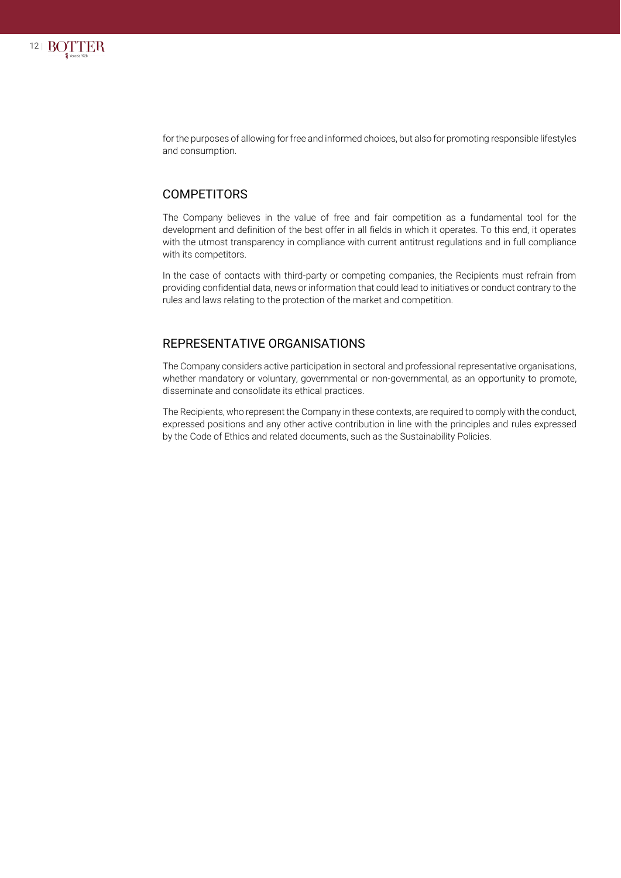

for the purposes of allowing for free and informed choices, but also for promoting responsible lifestyles and consumption.

#### **COMPETITORS**

The Company believes in the value of free and fair competition as a fundamental tool for the development and definition of the best offer in all fields in which it operates. To this end, it operates with the utmost transparency in compliance with current antitrust regulations and in full compliance with its competitors.

In the case of contacts with third-party or competing companies, the Recipients must refrain from providing confidential data, news or information that could lead to initiatives or conduct contrary to the rules and laws relating to the protection of the market and competition.

#### REPRESENTATIVE ORGANISATIONS

The Company considers active participation in sectoral and professional representative organisations, whether mandatory or voluntary, governmental or non-governmental, as an opportunity to promote, disseminate and consolidate its ethical practices.

The Recipients, who represent the Company in these contexts, are required to comply with the conduct, expressed positions and any other active contribution in line with the principles and rules expressed by the Code of Ethics and related documents, such as the Sustainability Policies.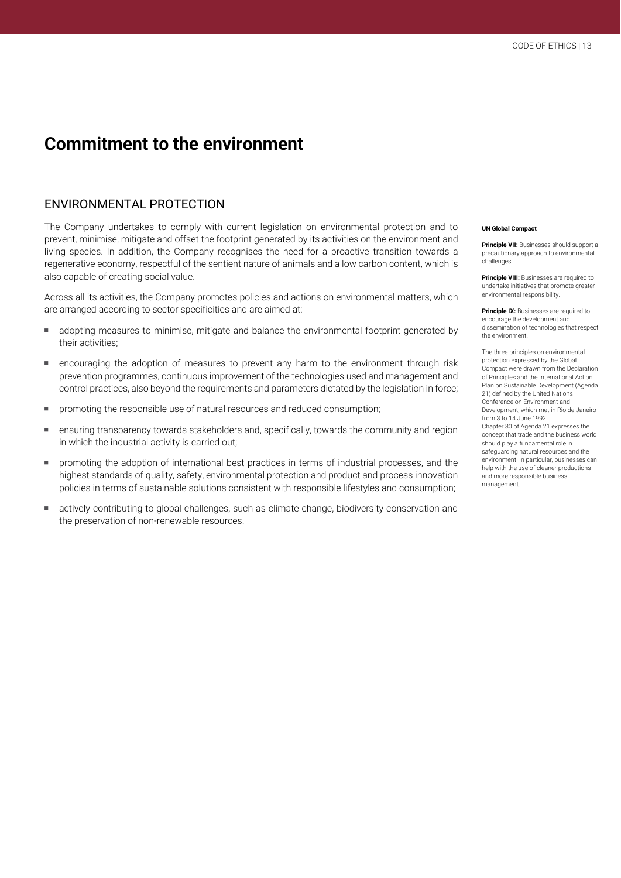## **Commitment to the environment**

## ENVIRONMENTAL PROTECTION

The Company undertakes to comply with current legislation on environmental protection and to prevent, minimise, mitigate and offset the footprint generated by its activities on the environment and living species. In addition, the Company recognises the need for a proactive transition towards a regenerative economy, respectful of the sentient nature of animals and a low carbon content, which is also capable of creating social value.

Across all its activities, the Company promotes policies and actions on environmental matters, which are arranged according to sector specificities and are aimed at:

- adopting measures to minimise, mitigate and balance the environmental footprint generated by their activities;
- encouraging the adoption of measures to prevent any harm to the environment through risk prevention programmes, continuous improvement of the technologies used and management and control practices, also beyond the requirements and parameters dictated by the legislation in force;
- **PED FIGURER 1** promoting the responsible use of natural resources and reduced consumption;
- ensuring transparency towards stakeholders and, specifically, towards the community and region in which the industrial activity is carried out;
- promoting the adoption of international best practices in terms of industrial processes, and the highest standards of quality, safety, environmental protection and product and process innovation policies in terms of sustainable solutions consistent with responsible lifestyles and consumption;
- actively contributing to global challenges, such as climate change, biodiversity conservation and the preservation of non-renewable resources.

#### **UN Global Compact**

**Principle VII:** Businesses should support a precautionary approach to environmental challenges.

**Principle VIII:** Businesses are required to undertake initiatives that promote greater environmental responsibility.

**Principle IX:** Businesses are required to encourage the development and dissemination of technologies that respect the environment.

The three principles on environmental protection expressed by the Global Compact were drawn from the Declaration of Principles and the International Action Plan on Sustainable Development (Agenda 21) defined by the United Nations Conference on Environment and Development, which met in Rio de Janeiro from 3 to 14 June 1992. Chapter 30 of Agenda 21 expresses the concept that trade and the business world should play a fundamental role in safeguarding natural resources and the environment. In particular, businesses can help with the use of cleaner productions and more responsible business management.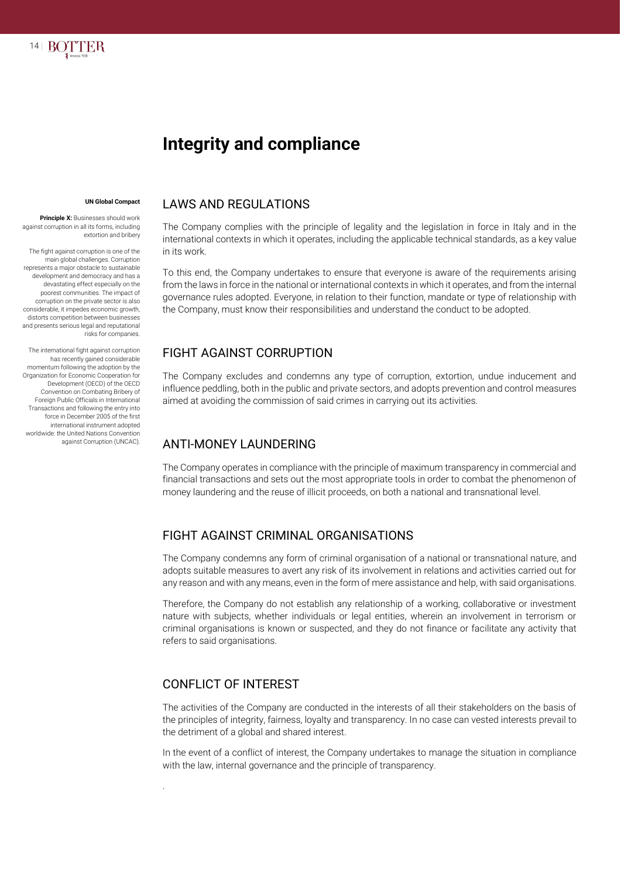

# **Integrity and compliance**

#### **UN Global Compact**

**Principle X: Businesses should work** against corruption in all its forms, including extortion and bribery

The fight against corruption is one of the main global challenges. Corruption represents a major obstacle to sustainable development and democracy and has a devastating effect especially on the poorest communities. The impact of corruption on the private sector is also considerable, it impedes economic growth, distorts competition between businesses and presents serious legal and reputational risks for companies.

The international fight against corruption has recently gained considerable momentum following the adoption by the Organization for Economic Cooperation for Development (OECD) of the OECD Convention on Combating Bribery of Foreign Public Officials in International Transactions and following the entry into force in December 2005 of the first international instrument adopted worldwide: the United Nations Convention against Corruption (UNCAC).

#### LAWS AND REGULATIONS

The Company complies with the principle of legality and the legislation in force in Italy and in the international contexts in which it operates, including the applicable technical standards, as a key value in its work.

To this end, the Company undertakes to ensure that everyone is aware of the requirements arising from the laws in force in the national or international contexts in which it operates, and from the internal governance rules adopted. Everyone, in relation to their function, mandate or type of relationship with the Company, must know their responsibilities and understand the conduct to be adopted.

## FIGHT AGAINST CORRUPTION

The Company excludes and condemns any type of corruption, extortion, undue inducement and influence peddling, both in the public and private sectors, and adopts prevention and control measures aimed at avoiding the commission of said crimes in carrying out its activities.

## ANTI-MONEY LAUNDERING

The Company operates in compliance with the principle of maximum transparency in commercial and financial transactions and sets out the most appropriate tools in order to combat the phenomenon of money laundering and the reuse of illicit proceeds, on both a national and transnational level.

## FIGHT AGAINST CRIMINAL ORGANISATIONS

The Company condemns any form of criminal organisation of a national or transnational nature, and adopts suitable measures to avert any risk of its involvement in relations and activities carried out for any reason and with any means, even in the form of mere assistance and help, with said organisations.

Therefore, the Company do not establish any relationship of a working, collaborative or investment nature with subjects, whether individuals or legal entities, wherein an involvement in terrorism or criminal organisations is known or suspected, and they do not finance or facilitate any activity that refers to said organisations.

## CONFLICT OF INTEREST

.

The activities of the Company are conducted in the interests of all their stakeholders on the basis of the principles of integrity, fairness, loyalty and transparency. In no case can vested interests prevail to the detriment of a global and shared interest.

In the event of a conflict of interest, the Company undertakes to manage the situation in compliance with the law, internal governance and the principle of transparency.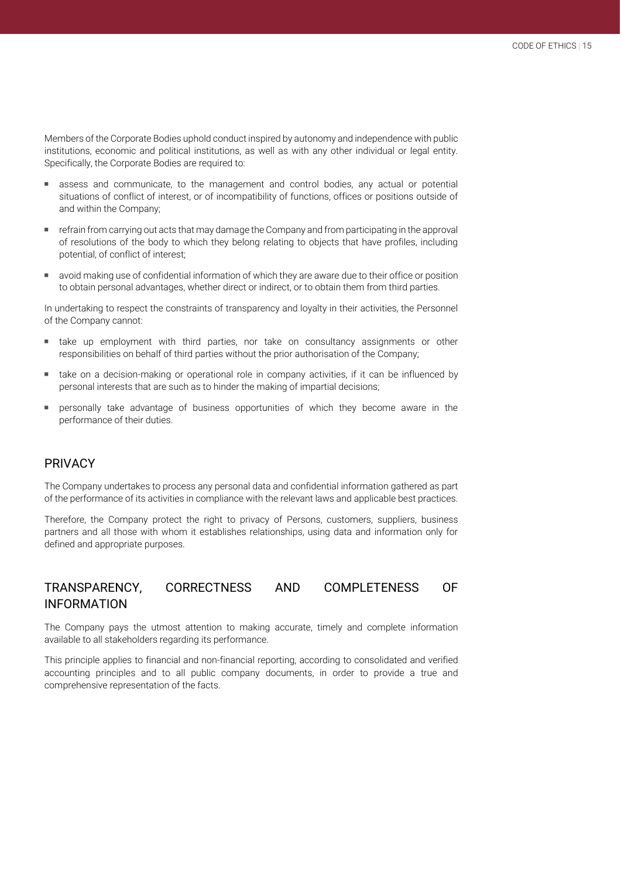Members of the Corporate Bodies uphold conduct inspired by autonomy and independence with public institutions, economic and political institutions, as well as with any other individual or legal entity. Specifically, the Corporate Bodies are required to:

- assess and communicate, to the management and control bodies, any actual or potential situations of conflict of interest, or of incompatibility of functions, offices or positions outside of and within the Company;
- refrain from carrying out acts that may damage the Company and from participating in the approval of resolutions of the body to which they belong relating to objects that have profiles, including potential, of conflict of interest;
- avoid making use of confidential information of which they are aware due to their office or position to obtain personal advantages, whether direct or indirect, or to obtain them from third parties.

In undertaking to respect the constraints of transparency and loyalty in their activities, the Personnel of the Company cannot:

- take up employment with third parties, nor take on consultancy assignments or other responsibilities on behalf of third parties without the prior authorisation of the Company;
- take on a decision-making or operational role in company activities, if it can be influenced by personal interests that are such as to hinder the making of impartial decisions;
- personally take advantage of business opportunities of which they become aware in the performance of their duties.

## PRIVACY

The Company undertakes to process any personal data and confidential information gathered as part of the performance of its activities in compliance with the relevant laws and applicable best practices.

Therefore, the Company protect the right to privacy of Persons, customers, suppliers, business partners and all those with whom it establishes relationships, using data and information only for defined and appropriate purposes.

## TRANSPARENCY, CORRECTNESS AND COMPLETENESS OF INFORMATION

The Company pays the utmost attention to making accurate, timely and complete information available to all stakeholders regarding its performance.

This principle applies to financial and non-financial reporting, according to consolidated and verified accounting principles and to all public company documents, in order to provide a true and comprehensive representation of the facts.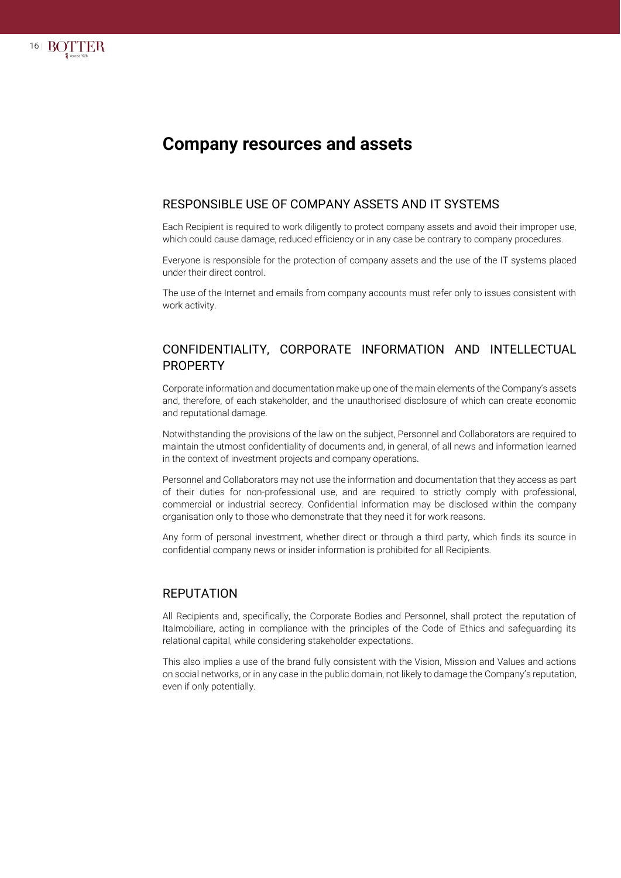

## **Company resources and assets**

## RESPONSIBLE USE OF COMPANY ASSETS AND IT SYSTEMS

Each Recipient is required to work diligently to protect company assets and avoid their improper use, which could cause damage, reduced efficiency or in any case be contrary to company procedures.

Everyone is responsible for the protection of company assets and the use of the IT systems placed under their direct control.

The use of the Internet and emails from company accounts must refer only to issues consistent with work activity.

#### CONFIDENTIALITY, CORPORATE INFORMATION AND INTELLECTUAL PROPERTY

Corporate information and documentation make up one of the main elements of the Company's assets and, therefore, of each stakeholder, and the unauthorised disclosure of which can create economic and reputational damage.

Notwithstanding the provisions of the law on the subject, Personnel and Collaborators are required to maintain the utmost confidentiality of documents and, in general, of all news and information learned in the context of investment projects and company operations.

Personnel and Collaborators may not use the information and documentation that they access as part of their duties for non-professional use, and are required to strictly comply with professional, commercial or industrial secrecy. Confidential information may be disclosed within the company organisation only to those who demonstrate that they need it for work reasons.

Any form of personal investment, whether direct or through a third party, which finds its source in confidential company news or insider information is prohibited for all Recipients.

#### REPUTATION

All Recipients and, specifically, the Corporate Bodies and Personnel, shall protect the reputation of Italmobiliare, acting in compliance with the principles of the Code of Ethics and safeguarding its relational capital, while considering stakeholder expectations.

This also implies a use of the brand fully consistent with the Vision, Mission and Values and actions on social networks, or in any case in the public domain, not likely to damage the Company's reputation, even if only potentially.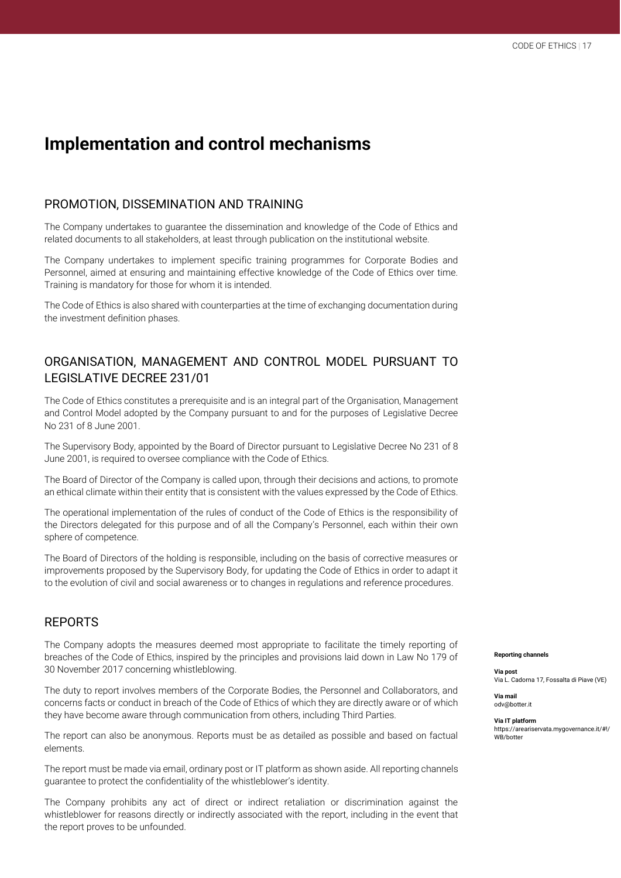## **Implementation and control mechanisms**

#### PROMOTION, DISSEMINATION AND TRAINING

The Company undertakes to guarantee the dissemination and knowledge of the Code of Ethics and related documents to all stakeholders, at least through publication on the institutional website.

The Company undertakes to implement specific training programmes for Corporate Bodies and Personnel, aimed at ensuring and maintaining effective knowledge of the Code of Ethics over time. Training is mandatory for those for whom it is intended.

The Code of Ethics is also shared with counterparties at the time of exchanging documentation during the investment definition phases.

## ORGANISATION, MANAGEMENT AND CONTROL MODEL PURSUANT TO LEGISLATIVE DECREE 231/01

The Code of Ethics constitutes a prerequisite and is an integral part of the Organisation, Management and Control Model adopted by the Company pursuant to and for the purposes of Legislative Decree No 231 of 8 June 2001.

The Supervisory Body, appointed by the Board of Director pursuant to Legislative Decree No 231 of 8 June 2001, is required to oversee compliance with the Code of Ethics.

The Board of Director of the Company is called upon, through their decisions and actions, to promote an ethical climate within their entity that is consistent with the values expressed by the Code of Ethics.

The operational implementation of the rules of conduct of the Code of Ethics is the responsibility of the Directors delegated for this purpose and of all the Company's Personnel, each within their own sphere of competence.

The Board of Directors of the holding is responsible, including on the basis of corrective measures or improvements proposed by the Supervisory Body, for updating the Code of Ethics in order to adapt it to the evolution of civil and social awareness or to changes in regulations and reference procedures.

## REPORTS

The Company adopts the measures deemed most appropriate to facilitate the timely reporting of breaches of the Code of Ethics, inspired by the principles and provisions laid down in Law No 179 of 30 November 2017 concerning whistleblowing.

The duty to report involves members of the Corporate Bodies, the Personnel and Collaborators, and concerns facts or conduct in breach of the Code of Ethics of which they are directly aware or of which they have become aware through communication from others, including Third Parties.

The report can also be anonymous. Reports must be as detailed as possible and based on factual elements.

The report must be made via email, ordinary post or IT platform as shown aside. All reporting channels guarantee to protect the confidentiality of the whistleblower's identity.

The Company prohibits any act of direct or indirect retaliation or discrimination against the whistleblower for reasons directly or indirectly associated with the report, including in the event that the report proves to be unfounded.

**Reporting channels**

**Via post** Via L. Cadorna 17, Fossalta di Piave (VE)

**Via mail** [odv@botter.it](mailto:odv@botter.it)

**Via IT platform** https://areariservata.mygovernance.it/#!/ WB/hotter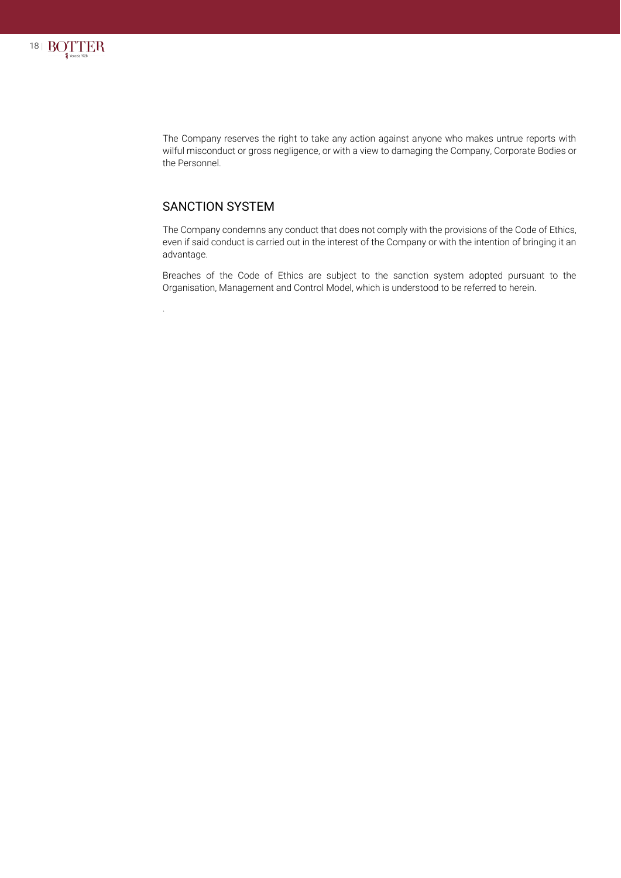

The Company reserves the right to take any action against anyone who makes untrue reports with wilful misconduct or gross negligence, or with a view to damaging the Company, Corporate Bodies or the Personnel.

## SANCTION SYSTEM

.

The Company condemns any conduct that does not comply with the provisions of the Code of Ethics, even if said conduct is carried out in the interest of the Company or with the intention of bringing it an advantage.

Breaches of the Code of Ethics are subject to the sanction system adopted pursuant to the Organisation, Management and Control Model, which is understood to be referred to herein.